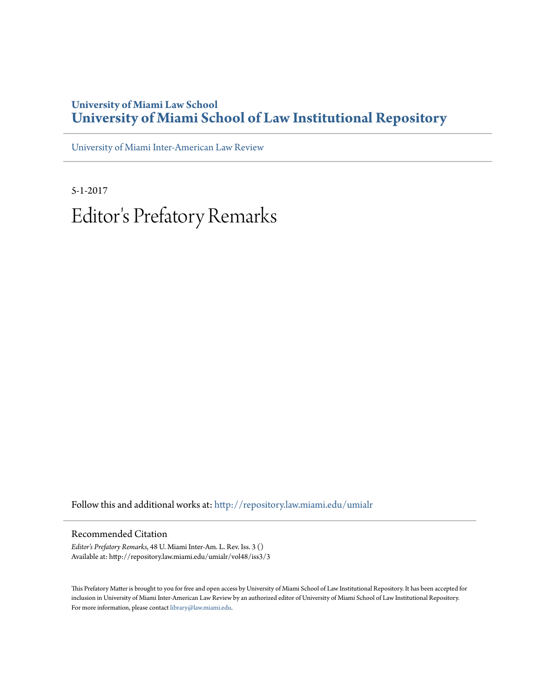## **University of Miami Law School [University of Miami School of Law Institutional Repository](http://repository.law.miami.edu?utm_source=repository.law.miami.edu%2Fumialr%2Fvol48%2Fiss3%2F3&utm_medium=PDF&utm_campaign=PDFCoverPages)**

[University of Miami Inter-American Law Review](http://repository.law.miami.edu/umialr?utm_source=repository.law.miami.edu%2Fumialr%2Fvol48%2Fiss3%2F3&utm_medium=PDF&utm_campaign=PDFCoverPages)

5-1-2017 Editor 's Prefatory Remarks

Follow this and additional works at: [http://repository.law.miami.edu/umialr](http://repository.law.miami.edu/umialr?utm_source=repository.law.miami.edu%2Fumialr%2Fvol48%2Fiss3%2F3&utm_medium=PDF&utm_campaign=PDFCoverPages)

#### Recommended Citation

*Editor's Prefatory Remarks*, 48 U. Miami Inter-Am. L. Rev. Iss. 3 () Available at: http://repository.law.miami.edu/umialr/vol48/iss3/3

This Prefatory Matter is brought to you for free and open access by University of Miami School of Law Institutional Repository. It has been accepted for inclusion in University of Miami Inter-American Law Review by an authorized editor of University of Miami School of Law Institutional Repository. For more information, please contact [library@law.miami.edu](mailto:library@law.miami.edu).